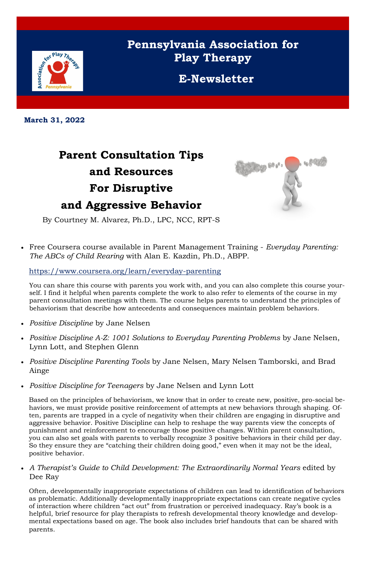

## **Pennsylvania Association for Play Therapy**

**E-Newsletter**

**March 31, 2022**

## **Parent Consultation Tips and Resources For Disruptive and Aggressive Behavior**



By Courtney M. Alvarez, Ph.D., LPC, NCC, RPT-S

• Free Coursera course available in Parent Management Training - *Everyday Parenting: The ABCs of Child Rearing* with Alan E. Kazdin, Ph.D., ABPP.

<https://www.coursera.org/learn/everyday-parenting>

You can share this course with parents you work with, and you can also complete this course yourself. I find it helpful when parents complete the work to also refer to elements of the course in my parent consultation meetings with them. The course helps parents to understand the principles of behaviorism that describe how antecedents and consequences maintain problem behaviors.

- *Positive Discipline* by Jane Nelsen
- *Positive Discipline A-Z: 1001 Solutions to Everyday Parenting Problems by Jane Nelsen,* Lynn Lott, and Stephen Glenn
- *Positive Discipline Parenting Tools* by Jane Nelsen, Mary Nelsen Tamborski, and Brad Ainge
- *Positive Discipline for Teenagers* by Jane Nelsen and Lynn Lott

• *A Therapist's Guide to Child Development: The Extraordinarily Normal Years edited by* Dee Ray

Based on the principles of behaviorism, we know that in order to create new, positive, pro-social behaviors, we must provide positive reinforcement of attempts at new behaviors through shaping. Often, parents are trapped in a cycle of negativity when their children are engaging in disruptive and aggressive behavior. Positive Discipline can help to reshape the way parents view the concepts of punishment and reinforcement to encourage those positive changes. Within parent consultation, you can also set goals with parents to verbally recognize 3 positive behaviors in their child per day. So they ensure they are "catching their children doing good," even when it may not be the ideal, positive behavior.

Often, developmentally inappropriate expectations of children can lead to identification of behaviors as problematic. Additionally developmentally inappropriate expectations can create negative cycles of interaction where children "act out" from frustration or perceived inadequacy. Ray's book is a helpful, brief resource for play therapists to refresh developmental theory knowledge and developmental expectations based on age. The book also includes brief handouts that can be shared with parents.